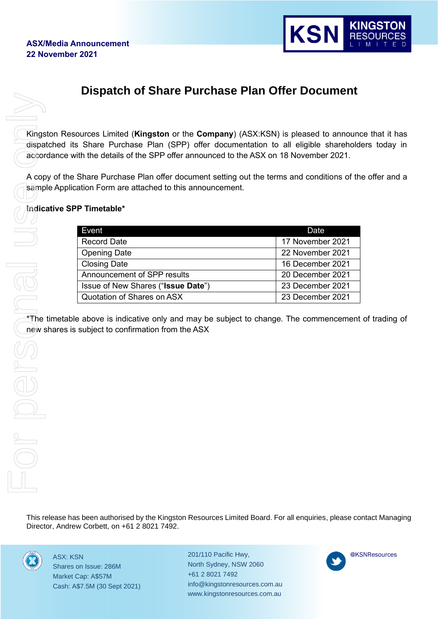

# **Dispatch of Share Purchase Plan Offer Document**

Kingston Resources Limited (**Kingston** or the **Company**) (ASX:KSN) is pleased to announce that it has dispatched its Share Purchase Plan (SPP) offer documentation to all eligible shareholders today in accordance with the details of the SPP offer announced to the ASX on 18 November 2021.

A copy of the Share Purchase Plan offer document setting out the terms and conditions of the offer and a sample Application Form are attached to this announcement.

#### **Indicative SPP Timetable\***

| Event                              | Date             |
|------------------------------------|------------------|
| <b>Record Date</b>                 | 17 November 2021 |
| <b>Opening Date</b>                | 22 November 2021 |
| <b>Closing Date</b>                | 16 December 2021 |
| Announcement of SPP results        | 20 December 2021 |
| Issue of New Shares ("Issue Date") | 23 December 2021 |
| Quotation of Shares on ASX         | 23 December 2021 |

 $\rightarrow$ The timetable above is indicative only and may be subject to change. The commencement of trading of new shares is subject to confirmation from the ASX

This release has been authorised by the Kingston Resources Limited Board. For all enquiries, please contact Managing



ASX: KSN Shares on Issue: 286M Market Cap: A\$57M Cash: A\$7.5M (30 Sept 2021) 201/110 Pacific Hwy, North Sydney, NSW 2060 +61 2 8021 7492 info@kingstonresources.com.au www.kingstonresources.com.au

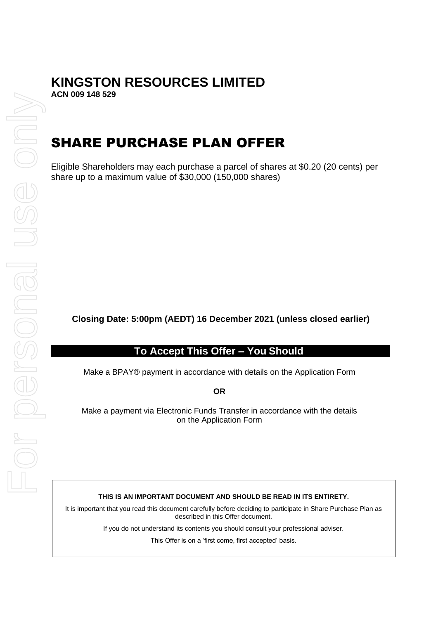# **KINGSTON RESOURCES LIMITED**

**ACN 009 148 529**

# SHARE PURCHASE PLAN OFFER

Eligible Shareholders may each purchase a parcel of shares at \$0.20 (20 cents) per share up to a maximum value of \$30,000 (150,000 shares)

**Closing Date: 5:00pm (AEDT) 16 December 2021 (unless closed earlier)**

### **To Accept This Offer – You Should**

Make a BPAY® payment in accordance with details on the Application Form

**OR**

Make a payment via Electronic Funds Transfer in accordance with the details on the Application Form

#### **THIS IS AN IMPORTANT DOCUMENT AND SHOULD BE READ IN ITS ENTIRETY.**

It is important that you read this document carefully before deciding to participate in Share Purchase Plan as described in this Offer document.

If you do not understand its contents you should consult your professional adviser.

This Offer is on a 'first come, first accepted' basis.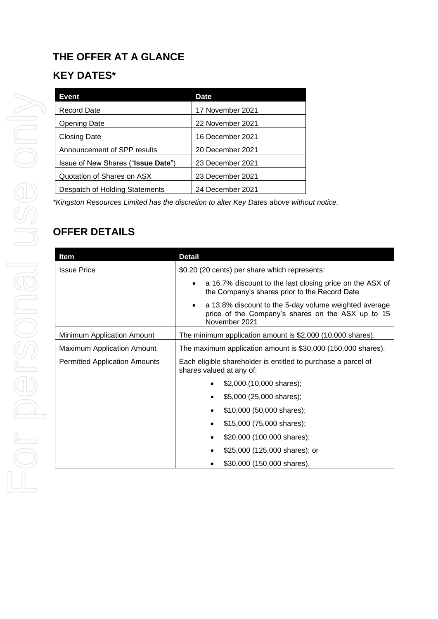# **THE OFFER AT A GLANCE KEY DATES\***

| Event                                       | <b>Date</b>      |
|---------------------------------------------|------------------|
| Record Date                                 | 17 November 2021 |
| <b>Opening Date</b>                         | 22 November 2021 |
| Closing Date                                | 16 December 2021 |
| Announcement of SPP results                 | 20 December 2021 |
| Issue of New Shares (" <b>Issue Date</b> ") | 23 December 2021 |
| Quotation of Shares on ASX                  | 23 December 2021 |
| Despatch of Holding Statements              | 24 December 2021 |

*\*Kingston Resources Limited has the discretion to alter Key Dates above without notice.*

# **OFFER DETAILS**

| ltem                                 | <b>Detail</b>                                                                                                                            |  |
|--------------------------------------|------------------------------------------------------------------------------------------------------------------------------------------|--|
| <b>Issue Price</b>                   | \$0.20 (20 cents) per share which represents:                                                                                            |  |
|                                      | a 16.7% discount to the last closing price on the ASX of<br>$\bullet$<br>the Company's shares prior to the Record Date                   |  |
|                                      | a 13.8% discount to the 5-day volume weighted average<br>$\bullet$<br>price of the Company's shares on the ASX up to 15<br>November 2021 |  |
| Minimum Application Amount           | The minimum application amount is \$2,000 (10,000 shares).                                                                               |  |
| <b>Maximum Application Amount</b>    | The maximum application amount is \$30,000 (150,000 shares).                                                                             |  |
| <b>Permitted Application Amounts</b> | Each eligible shareholder is entitled to purchase a parcel of<br>shares valued at any of:                                                |  |
|                                      | \$2,000 (10,000 shares);                                                                                                                 |  |
|                                      | \$5,000 (25,000 shares);                                                                                                                 |  |
|                                      | \$10,000 (50,000 shares);<br>$\bullet$                                                                                                   |  |
|                                      | \$15,000 (75,000 shares);                                                                                                                |  |
|                                      | \$20,000 (100,000 shares);                                                                                                               |  |
|                                      | \$25,000 (125,000 shares); or                                                                                                            |  |
|                                      | \$30,000 (150,000 shares).                                                                                                               |  |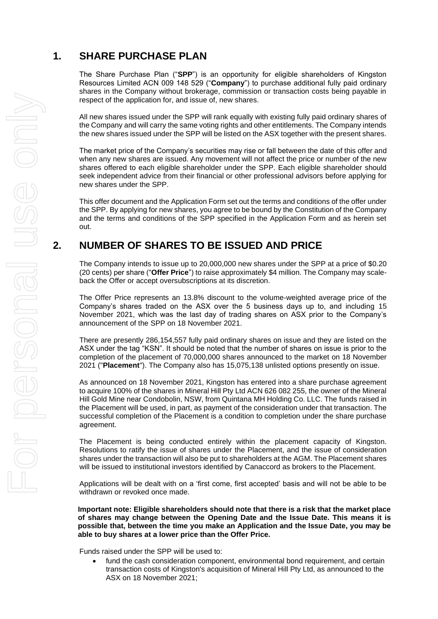# **1. SHARE PURCHASE PLAN**

The Share Purchase Plan ("**SPP**") is an opportunity for eligible shareholders of Kingston Resources Limited ACN 009 148 529 ("**Company**") to purchase additional fully paid ordinary shares in the Company without brokerage, commission or transaction costs being payable in respect of the application for, and issue of, new shares.

All new shares issued under the SPP will rank equally with existing fully paid ordinary shares of the Company and will carry the same voting rights and other entitlements. The Company intends the new shares issued under the SPP will be listed on the ASX together with the present shares.

The market price of the Company's securities may rise or fall between the date of this offer and when any new shares are issued. Any movement will not affect the price or number of the new shares offered to each eligible shareholder under the SPP. Each eligible shareholder should seek independent advice from their financial or other professional advisors before applying for new shares under the SPP.

This offer document and the Application Form set out the terms and conditions of the offer under the SPP. By applying for new shares, you agree to be bound by the Constitution of the Company and the terms and conditions of the SPP specified in the Application Form and as herein set out.

# **2. NUMBER OF SHARES TO BE ISSUED AND PRICE**

The Company intends to issue up to 20,000,000 new shares under the SPP at a price of \$0.20 (20 cents) per share ("**Offer Price**") to raise approximately \$4 million. The Company may scaleback the Offer or accept oversubscriptions at its discretion.

The Offer Price represents an 13.8% discount to the volume-weighted average price of the Company's shares traded on the ASX over the 5 business days up to, and including 15 November 2021, which was the last day of trading shares on ASX prior to the Company's announcement of the SPP on 18 November 2021.

There are presently 286,154,557 fully paid ordinary shares on issue and they are listed on the ASX under the tag "KSN". It should be noted that the number of shares on issue is prior to the completion of the placement of 70,000,000 shares announced to the market on 18 November 2021 ("**Placement**"). The Company also has 15,075,138 unlisted options presently on issue.

As announced on 18 November 2021, Kingston has entered into a share purchase agreement to acquire 100% of the shares in Mineral Hill Pty Ltd ACN 626 082 255, the owner of the Mineral Hill Gold Mine near Condobolin, NSW, from Quintana MH Holding Co. LLC. The funds raised in the Placement will be used, in part, as payment of the consideration under that transaction. The successful completion of the Placement is a condition to completion under the share purchase agreement.

The Placement is being conducted entirely within the placement capacity of Kingston. Resolutions to ratify the issue of shares under the Placement, and the issue of consideration shares under the transaction will also be put to shareholders at the AGM. The Placement shares will be issued to institutional investors identified by Canaccord as brokers to the Placement.

Applications will be dealt with on a 'first come, first accepted' basis and will not be able to be withdrawn or revoked once made.

**Important note: Eligible shareholders should note that there is a risk that the market place of shares may change between the Opening Date and the Issue Date. This means it is possible that, between the time you make an Application and the Issue Date, you may be able to buy shares at a lower price than the Offer Price.** 

Funds raised under the SPP will be used to:

fund the cash consideration component, environmental bond requirement, and certain transaction costs of Kingston's acquisition of Mineral Hill Pty Ltd, as announced to the ASX on 18 November 2021;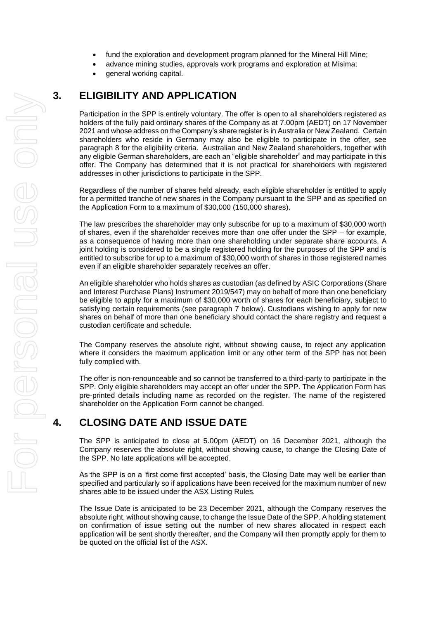- fund the exploration and development program planned for the Mineral Hill Mine;
	- advance mining studies, approvals work programs and exploration at Misima;
- general working capital.

# **3. ELIGIBILITY AND APPLICATION**

Participation in the SPP is entirely voluntary. The offer is open to all shareholders registered as holders of the fully paid ordinary shares of the Company as at 7.00pm (AEDT) on 17 November 2021 and whose address on the Company's share register is in Australia or New Zealand. Certain shareholders who reside in Germany may also be eligible to participate in the offer, see paragraph [8](#page-6-0) for the eligibility criteria. Australian and New Zealand shareholders, together with any eligible German shareholders, are each an "eligible shareholder" and may participate in this offer. The Company has determined that it is not practical for shareholders with registered addresses in other jurisdictions to participate in the SPP.

Regardless of the number of shares held already, each eligible shareholder is entitled to apply for a permitted tranche of new shares in the Company pursuant to the SPP and as specified on the Application Form to a maximum of \$30,000 (150,000 shares).

The law prescribes the shareholder may only subscribe for up to a maximum of \$30,000 worth of shares, even if the shareholder receives more than one offer under the SPP – for example, as a consequence of having more than one shareholding under separate share accounts. A joint holding is considered to be a single registered holding for the purposes of the SPP and is entitled to subscribe for up to a maximum of \$30,000 worth of shares in those registered names even if an eligible shareholder separately receives an offer.

An eligible shareholder who holds shares as custodian (as defined by ASIC Corporations (Share and Interest Purchase Plans) Instrument 2019/547) may on behalf of more than one beneficiary be eligible to apply for a maximum of \$30,000 worth of shares for each beneficiary, subject to satisfying certain requirements (see paragraph [7](#page-6-1) below). Custodians wishing to apply for new shares on behalf of more than one beneficiary should contact the share registry and request a custodian certificate and schedule.

The Company reserves the absolute right, without showing cause, to reject any application where it considers the maximum application limit or any other term of the SPP has not been fully complied with.

The offer is non-renounceable and so cannot be transferred to a third-party to participate in the SPP. Only eligible shareholders may accept an offer under the SPP. The Application Form has pre-printed details including name as recorded on the register. The name of the registered shareholder on the Application Form cannot be changed.

# **4. CLOSING DATE AND ISSUE DATE**

The SPP is anticipated to close at 5.00pm (AEDT) on 16 December 2021, although the Company reserves the absolute right, without showing cause, to change the Closing Date of the SPP. No late applications will be accepted.

As the SPP is on a 'first come first accepted' basis, the Closing Date may well be earlier than specified and particularly so if applications have been received for the maximum number of new shares able to be issued under the ASX Listing Rules.

The Issue Date is anticipated to be 23 December 2021, although the Company reserves the absolute right, without showing cause, to change the Issue Date of the SPP. A holding statement on confirmation of issue setting out the number of new shares allocated in respect each application will be sent shortly thereafter, and the Company will then promptly apply for them to be quoted on the official list of the ASX.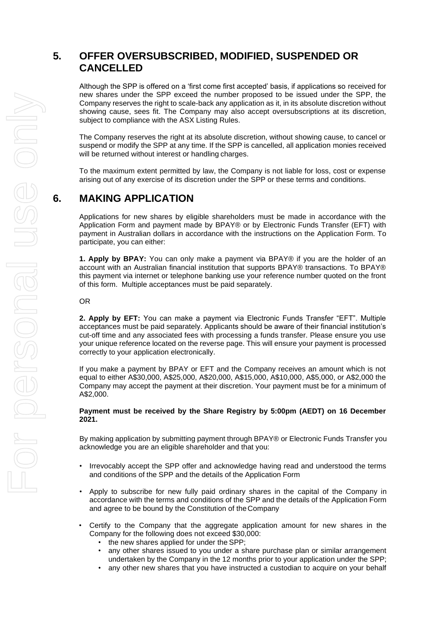## **5. OFFER OVERSUBSCRIBED, MODIFIED, SUSPENDED OR CANCELLED**

Although the SPP is offered on a 'first come first accepted' basis, if applications so received for new shares under the SPP exceed the number proposed to be issued under the SPP, the Company reserves the right to scale-back any application as it, in its absolute discretion without showing cause, sees fit. The Company may also accept oversubscriptions at its discretion, subject to compliance with the ASX Listing Rules.

The Company reserves the right at its absolute discretion, without showing cause, to cancel or suspend or modify the SPP at any time. If the SPP is cancelled, all application monies received will be returned without interest or handling charges.

To the maximum extent permitted by law, the Company is not liable for loss, cost or expense arising out of any exercise of its discretion under the SPP or these terms and conditions.

## **6. MAKING APPLICATION**

Applications for new shares by eligible shareholders must be made in accordance with the Application Form and payment made by BPAY® or by Electronic Funds Transfer (EFT) with payment in Australian dollars in accordance with the instructions on the Application Form. To participate, you can either:

**1. Apply by BPAY:** You can only make a payment via BPAY® if you are the holder of an account with an Australian financial institution that supports BPAY® transactions. To BPAY® this payment via internet or telephone banking use your reference number quoted on the front of this form. Multiple acceptances must be paid separately.

OR

**2. Apply by EFT:** You can make a payment via Electronic Funds Transfer "EFT". Multiple acceptances must be paid separately. Applicants should be aware of their financial institution's cut-off time and any associated fees with processing a funds transfer. Please ensure you use your unique reference located on the reverse page. This will ensure your payment is processed correctly to your application electronically.

If you make a payment by BPAY or EFT and the Company receives an amount which is not equal to either A\$30,000, A\$25,000, A\$20,000, A\$15,000, A\$10,000, A\$5,000, or A\$2,000 the Company may accept the payment at their discretion. Your payment must be for a minimum of A\$2,000.

#### **Payment must be received by the Share Registry by 5:00pm (AEDT) on 16 December 2021.**

By making application by submitting payment through BPAY® or Electronic Funds Transfer you acknowledge you are an eligible shareholder and that you:

- Irrevocably accept the SPP offer and acknowledge having read and understood the terms and conditions of the SPP and the details of the Application Form
- Apply to subscribe for new fully paid ordinary shares in the capital of the Company in accordance with the terms and conditions of the SPP and the details of the Application Form and agree to be bound by the Constitution of theCompany
- Certify to the Company that the aggregate application amount for new shares in the Company for the following does not exceed \$30,000:
	- the new shares applied for under the SPP;
	- any other shares issued to you under a share purchase plan or similar arrangement undertaken by the Company in the 12 months prior to your application under the SPP;
	- any other new shares that you have instructed a custodian to acquire on your behalf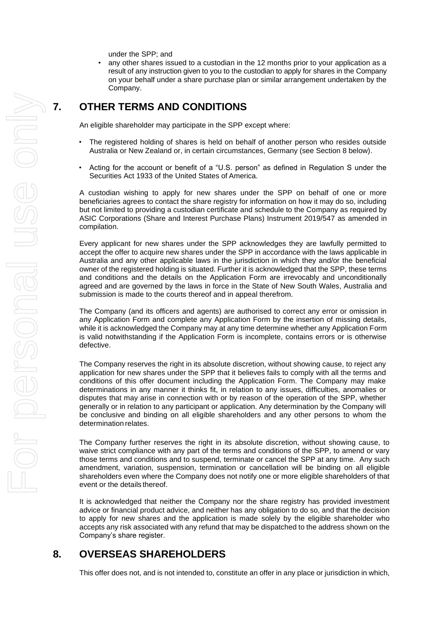under the SPP; and

any other shares issued to a custodian in the 12 months prior to your application as a result of any instruction given to you to the custodian to apply for shares in the Company on your behalf under a share purchase plan or similar arrangement undertaken by the Company.

## <span id="page-6-1"></span>**7. OTHER TERMS AND CONDITIONS**

An eligible shareholder may participate in the SPP except where:

- The registered holding of shares is held on behalf of another person who resides outside Australia or New Zealand or, in certain circumstances, Germany (see Section 8 below).
- Acting for the account or benefit of a "U.S. person" as defined in Regulation S under the Securities Act 1933 of the United States of America.

A custodian wishing to apply for new shares under the SPP on behalf of one or more beneficiaries agrees to contact the share registry for information on how it may do so, including but not limited to providing a custodian certificate and schedule to the Company as required by ASIC Corporations (Share and Interest Purchase Plans) Instrument 2019/547 as amended in compilation.

Every applicant for new shares under the SPP acknowledges they are lawfully permitted to accept the offer to acquire new shares under the SPP in accordance with the laws applicable in Australia and any other applicable laws in the jurisdiction in which they and/or the beneficial owner of the registered holding is situated. Further it is acknowledged that the SPP, these terms and conditions and the details on the Application Form are irrevocably and unconditionally agreed and are governed by the laws in force in the State of New South Wales, Australia and submission is made to the courts thereof and in appeal therefrom.

The Company (and its officers and agents) are authorised to correct any error or omission in any Application Form and complete any Application Form by the insertion of missing details, while it is acknowledged the Company may at any time determine whether any Application Form is valid notwithstanding if the Application Form is incomplete, contains errors or is otherwise defective.

The Company reserves the right in its absolute discretion, without showing cause, to reject any application for new shares under the SPP that it believes fails to comply with all the terms and conditions of this offer document including the Application Form. The Company may make determinations in any manner it thinks fit, in relation to any issues, difficulties, anomalies or disputes that may arise in connection with or by reason of the operation of the SPP, whether generally or in relation to any participant or application. Any determination by the Company will be conclusive and binding on all eligible shareholders and any other persons to whom the determination relates.

The Company further reserves the right in its absolute discretion, without showing cause, to waive strict compliance with any part of the terms and conditions of the SPP, to amend or vary those terms and conditions and to suspend, terminate or cancel the SPP at any time. Any such amendment, variation, suspension, termination or cancellation will be binding on all eligible shareholders even where the Company does not notify one or more eligible shareholders of that event or the details thereof.

It is acknowledged that neither the Company nor the share registry has provided investment advice or financial product advice, and neither has any obligation to do so, and that the decision to apply for new shares and the application is made solely by the eligible shareholder who accepts any risk associated with any refund that may be dispatched to the address shown on the Company's share register.

### <span id="page-6-0"></span>**8. OVERSEAS SHAREHOLDERS**

This offer does not, and is not intended to, constitute an offer in any place or jurisdiction in which,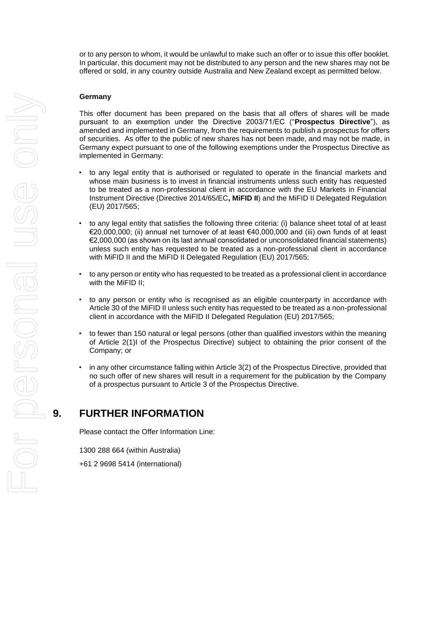or to any person to whom, it would be unlawful to make such an offer or to issue this offer booklet. In particular, this document may not be distributed to any person and the new shares may not be offered or sold, in any country outside Australia and New Zealand except as permitted below.

#### **Germany**

This offer document has been prepared on the basis that all offers of shares will be made pursuant to an exemption under the Directive 2003/71/EC ("**Prospectus Directive**"), as amended and implemented in Germany, from the requirements to publish a prospectus for offers of securities. As offer to the public of new shares has not been made, and may not be made, in Germany expect pursuant to one of the following exemptions under the Prospectus Directive as implemented in Germany:

- to any legal entity that is authorised or regulated to operate in the financial markets and whose main business is to invest in financial instruments unless such entity has requested to be treated as a non-professional client in accordance with the EU Markets in Financial Instrument Directive (Directive 2014/65/EC**, MiFID II**) and the MiFID II Delegated Regulation (EU) 2017/565;
- to any legal entity that satisfies the following three criteria: (i) balance sheet total of at least €20,000,000; (ii) annual net turnover of at least €40,000,000 and (iii) own funds of at least €2,000,000 (as shown on its last annual consolidated or unconsolidated financial statements) unless such entity has requested to be treated as a non-professional client in accordance with MiFID II and the MiFID II Delegated Regulation (EU) 2017/565;
- to any person or entity who has requested to be treated as a professional client in accordance with the MiFID II;
- to any person or entity who is recognised as an eligible counterparty in accordance with Article 30 of the MiFID II unless such entity has requested to be treated as a non-professional client in accordance with the MiFID II Delegated Regulation (EU) 2017/565;
- to fewer than 150 natural or legal persons (other than qualified investors within the meaning of Article 2(1)I of the Prospectus Directive) subject to obtaining the prior consent of the Company; or
- in any other circumstance falling within Article 3(2) of the Prospectus Directive, provided that no such offer of new shares will result in a requirement for the publication by the Company of a prospectus pursuant to Article 3 of the Prospectus Directive.

### **9. FURTHER INFORMATION**

Please contact the Offer Information Line:

1300 288 664 (within Australia) +61 2 9698 5414 (international)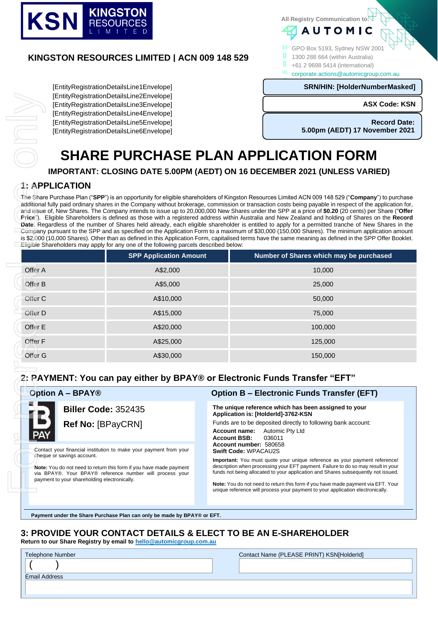

#### **KINGSTON RESOURCES LIMITED | ACN 009 148 529**

[EntityRegistrationDetailsLine1Envelope] [EntityRegistrationDetailsLine2Envelope] [EntityRegistrationDetailsLine3Envelope] [EntityRegistrationDetailsLine4Envelope] [EntityRegistrationDetailsLine5Envelope] [EntityRegistrationDetailsLine6Envelope] **All Registry Communication to:**

- GPO Box 5193, Sydney NSW 2001
- **1** 1300 288 664 (within Australia)
- **0** +61 2 9698 5414 (international)
- corporate.actions@automicgroup.com.au

**AUTOMIC** 

#### **SRN/HIN: [HolderNumberMasked]**

# [ReplaceNoImages] **SHARE PURCHASE PLAN APPLICATION FORM**

#### **1: APPLICATION**

| [EntityRegistrationDetailsLine2Envelope]<br>[EntityRegistrationDetailsLine3Envelope] |                                                                                                                                                                                                     | <b>ASX Code: KSN</b>                                                                                     |                                                                                                                                                                                                                                                                                                                                                                                                                                                                                                                                                                                                                                                                                                                                                                                                                                                                                                                                                                                                                                                                                                                 |  |
|--------------------------------------------------------------------------------------|-----------------------------------------------------------------------------------------------------------------------------------------------------------------------------------------------------|----------------------------------------------------------------------------------------------------------|-----------------------------------------------------------------------------------------------------------------------------------------------------------------------------------------------------------------------------------------------------------------------------------------------------------------------------------------------------------------------------------------------------------------------------------------------------------------------------------------------------------------------------------------------------------------------------------------------------------------------------------------------------------------------------------------------------------------------------------------------------------------------------------------------------------------------------------------------------------------------------------------------------------------------------------------------------------------------------------------------------------------------------------------------------------------------------------------------------------------|--|
|                                                                                      | [EntityRegistrationDetailsLine4Envelope]<br>[EntityRegistrationDetailsLine5Envelope]                                                                                                                |                                                                                                          | <b>Record Date:</b>                                                                                                                                                                                                                                                                                                                                                                                                                                                                                                                                                                                                                                                                                                                                                                                                                                                                                                                                                                                                                                                                                             |  |
|                                                                                      | [EntityRegistrationDetailsLine6Envelope]                                                                                                                                                            |                                                                                                          | 5.00pm (AEDT) 17 November 2021                                                                                                                                                                                                                                                                                                                                                                                                                                                                                                                                                                                                                                                                                                                                                                                                                                                                                                                                                                                                                                                                                  |  |
|                                                                                      |                                                                                                                                                                                                     |                                                                                                          | <b>SHARE PURCHASE PLAN APPLICATION FORM</b>                                                                                                                                                                                                                                                                                                                                                                                                                                                                                                                                                                                                                                                                                                                                                                                                                                                                                                                                                                                                                                                                     |  |
|                                                                                      |                                                                                                                                                                                                     |                                                                                                          | IMPORTANT: CLOSING DATE 5.00PM (AEDT) ON 16 DECEMBER 2021 (UNLESS VARIED)                                                                                                                                                                                                                                                                                                                                                                                                                                                                                                                                                                                                                                                                                                                                                                                                                                                                                                                                                                                                                                       |  |
| <b>1: APPLICATION</b>                                                                |                                                                                                                                                                                                     |                                                                                                          |                                                                                                                                                                                                                                                                                                                                                                                                                                                                                                                                                                                                                                                                                                                                                                                                                                                                                                                                                                                                                                                                                                                 |  |
|                                                                                      | Eligible Shareholders may apply for any one of the following parcels described below:                                                                                                               |                                                                                                          | -The Share Purchase Plan (" <b>SPP</b> ") is an opportunity for eligible shareholders of Kingston Resources Limited ACN 009 148 529 (" <b>Company</b> ") to purchase<br>additional fully paid ordinary shares in the Company without brokerage, commission or transaction costs being payable in respect of the application for,<br>and issue of, New Shares. The Company intends to issue up to 20,000,000 New Shares under the SPP at a price of \$0.20 (20 cents) per Share ("Offer<br>Price"). Eligible Shareholders is defined as those with a registered address within Australia and New Zealand and holding of Shares on the Record<br>Date. Regardless of the number of Shares held already, each eligible shareholder is entitled to apply for a permitted tranche of New Shares in the<br>Company pursuant to the SPP and as specified on the Application Form to a maximum of \$30,000 (150,000 Shares). The minimum application amount<br>is \$2,000 (10,000 Shares). Other than as defined in this Application Form, capitalised terms have the same meaning as defined in the SPP Offer Booklet. |  |
|                                                                                      | <b>SPP Application Amount</b>                                                                                                                                                                       |                                                                                                          | Number of Shares which may be purchased                                                                                                                                                                                                                                                                                                                                                                                                                                                                                                                                                                                                                                                                                                                                                                                                                                                                                                                                                                                                                                                                         |  |
| Offer A                                                                              | A\$2,000                                                                                                                                                                                            |                                                                                                          | 10,000                                                                                                                                                                                                                                                                                                                                                                                                                                                                                                                                                                                                                                                                                                                                                                                                                                                                                                                                                                                                                                                                                                          |  |
| Offer B                                                                              | A\$5,000                                                                                                                                                                                            |                                                                                                          | 25,000                                                                                                                                                                                                                                                                                                                                                                                                                                                                                                                                                                                                                                                                                                                                                                                                                                                                                                                                                                                                                                                                                                          |  |
| Offer C                                                                              | A\$10,000                                                                                                                                                                                           |                                                                                                          | 50,000                                                                                                                                                                                                                                                                                                                                                                                                                                                                                                                                                                                                                                                                                                                                                                                                                                                                                                                                                                                                                                                                                                          |  |
| Offer D                                                                              | A\$15,000                                                                                                                                                                                           |                                                                                                          | 75,000                                                                                                                                                                                                                                                                                                                                                                                                                                                                                                                                                                                                                                                                                                                                                                                                                                                                                                                                                                                                                                                                                                          |  |
| Offer E                                                                              | A\$20,000                                                                                                                                                                                           |                                                                                                          | 100,000                                                                                                                                                                                                                                                                                                                                                                                                                                                                                                                                                                                                                                                                                                                                                                                                                                                                                                                                                                                                                                                                                                         |  |
| Offer F                                                                              | A\$25,000                                                                                                                                                                                           |                                                                                                          | 125,000                                                                                                                                                                                                                                                                                                                                                                                                                                                                                                                                                                                                                                                                                                                                                                                                                                                                                                                                                                                                                                                                                                         |  |
| Offer G                                                                              | A\$30,000                                                                                                                                                                                           |                                                                                                          | 150,000                                                                                                                                                                                                                                                                                                                                                                                                                                                                                                                                                                                                                                                                                                                                                                                                                                                                                                                                                                                                                                                                                                         |  |
|                                                                                      | 2: PAYMENT: You can pay either by BPAY® or Electronic Funds Transfer "EFT"                                                                                                                          |                                                                                                          |                                                                                                                                                                                                                                                                                                                                                                                                                                                                                                                                                                                                                                                                                                                                                                                                                                                                                                                                                                                                                                                                                                                 |  |
| <b>Option A - BPAY®</b>                                                              |                                                                                                                                                                                                     |                                                                                                          | <b>Option B - Electronic Funds Transfer (EFT)</b>                                                                                                                                                                                                                                                                                                                                                                                                                                                                                                                                                                                                                                                                                                                                                                                                                                                                                                                                                                                                                                                               |  |
|                                                                                      | <b>Biller Code: 352435</b>                                                                                                                                                                          |                                                                                                          | The unique reference which has been assigned to your<br>Application is: [HolderId]-3762-KSN                                                                                                                                                                                                                                                                                                                                                                                                                                                                                                                                                                                                                                                                                                                                                                                                                                                                                                                                                                                                                     |  |
| Ref No: [BPayCRN]                                                                    |                                                                                                                                                                                                     | Funds are to be deposited directly to following bank account:<br>Automic Pty Ltd<br><b>Account name:</b> |                                                                                                                                                                                                                                                                                                                                                                                                                                                                                                                                                                                                                                                                                                                                                                                                                                                                                                                                                                                                                                                                                                                 |  |
| PAY                                                                                  |                                                                                                                                                                                                     | <b>Account BSB:</b><br>Account number: 580658                                                            | 036011                                                                                                                                                                                                                                                                                                                                                                                                                                                                                                                                                                                                                                                                                                                                                                                                                                                                                                                                                                                                                                                                                                          |  |
| cheque or savings account.<br>payment to your shareholding electronically.           | Contact your financial institution to make your payment from your<br>Note: You do not need to return this form if you have made payment<br>via BPAY®. Your BPAY® reference number will process your | <b>Swift Code: WPACAU2S</b>                                                                              | <b>Important:</b> You must quote your unique reference as your payment reference/<br>description when processing your EFT payment. Failure to do so may result in your<br>funds not being allocated to your application and Shares subsequently not issued.                                                                                                                                                                                                                                                                                                                                                                                                                                                                                                                                                                                                                                                                                                                                                                                                                                                     |  |
|                                                                                      |                                                                                                                                                                                                     |                                                                                                          | <b>Note:</b> You do not need to return this form if you have made payment via EFT. Your<br>unique reference will process your payment to your application electronically.                                                                                                                                                                                                                                                                                                                                                                                                                                                                                                                                                                                                                                                                                                                                                                                                                                                                                                                                       |  |

#### **2: PAYMENT: You can pay either by BPAY® or Electronic Funds Transfer "EFT"**



# **Option A – BPAY® Option B – Electronic Funds Transfer (EFT)**

#### **The unique reference which has been assigned to your Application is: [HolderId]-3762-KSN**

**Payment under the Share Purchase Plan can only be made by BPAY® or EFT.**

### **3: PROVIDE YOUR CONTACT DETAILS & ELECT TO BE AN E-SHAREHOLDER**

**Return to our Share Registry by email to [hello@automicgroup.com.au](mailto:hello@automicgroup.com.au)**

| Telephone Number     | Contact Name (PLEASE PRINT) KSN[HolderId] |
|----------------------|-------------------------------------------|
|                      |                                           |
| <b>Email Address</b> |                                           |
|                      |                                           |
|                      |                                           |